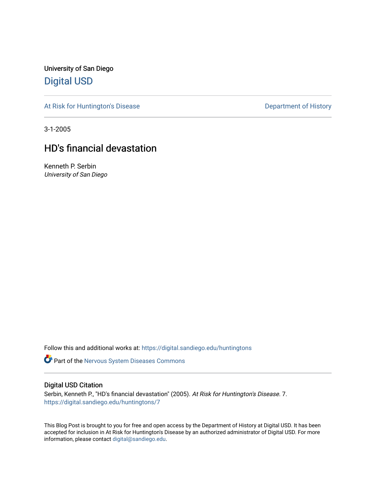University of San Diego [Digital USD](https://digital.sandiego.edu/)

[At Risk for Huntington's Disease](https://digital.sandiego.edu/huntingtons) **Department of History** Department of History

3-1-2005

## HD's financial devastation

Kenneth P. Serbin University of San Diego

Follow this and additional works at: [https://digital.sandiego.edu/huntingtons](https://digital.sandiego.edu/huntingtons?utm_source=digital.sandiego.edu%2Fhuntingtons%2F7&utm_medium=PDF&utm_campaign=PDFCoverPages)

**Part of the [Nervous System Diseases Commons](http://network.bepress.com/hgg/discipline/928?utm_source=digital.sandiego.edu%2Fhuntingtons%2F7&utm_medium=PDF&utm_campaign=PDFCoverPages)** 

#### Digital USD Citation

Serbin, Kenneth P., "HD's financial devastation" (2005). At Risk for Huntington's Disease. 7. [https://digital.sandiego.edu/huntingtons/7](https://digital.sandiego.edu/huntingtons/7?utm_source=digital.sandiego.edu%2Fhuntingtons%2F7&utm_medium=PDF&utm_campaign=PDFCoverPages) 

This Blog Post is brought to you for free and open access by the Department of History at Digital USD. It has been accepted for inclusion in At Risk for Huntington's Disease by an authorized administrator of Digital USD. For more information, please contact [digital@sandiego.edu.](mailto:digital@sandiego.edu)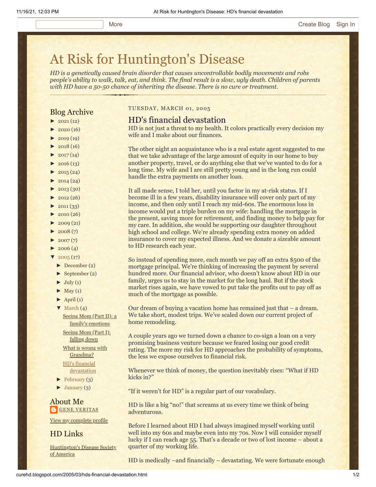# [At Risk for Huntington's Disease](http://curehd.blogspot.com/)

*HD is a genetically caused brain disorder that causes uncontrollable bodily movements and robs people's ability to walk, talk, eat, and think. The final result is a slow, ugly death. Children of parents with HD have a 50-50 chance of inheriting the disease. There is no cure or treatment.*

#### Blog Archive

- $\blacktriangleright$  [2021](http://curehd.blogspot.com/2021/)(12)
- $-2020(16)$  $-2020(16)$  $-2020(16)$
- $\blacktriangleright$  [2019](http://curehd.blogspot.com/2019/) (19)
- $\blacktriangleright$  [2018](http://curehd.blogspot.com/2018/) (16)
- $\blacktriangleright$  [2017](http://curehd.blogspot.com/2017/)(14)
- $\blacktriangleright$  [2016](http://curehd.blogspot.com/2016/) (13)
- $\blacktriangleright$  [2015](http://curehd.blogspot.com/2015/) (24)
- $\blacktriangleright$  [2014](http://curehd.blogspot.com/2014/) (24)
- $\blacktriangleright$  [2013](http://curehd.blogspot.com/2013/) (30)
- $\blacktriangleright$  [2012](http://curehd.blogspot.com/2012/) (26)
- $\blacktriangleright$  [2011](http://curehd.blogspot.com/2011/) (33)
- $\blacktriangleright$  [2010](http://curehd.blogspot.com/2010/) (26)
- $\blacktriangleright$  [2009](http://curehd.blogspot.com/2009/) (21)
- $\blacktriangleright$  [2008](http://curehd.blogspot.com/2008/) $(7)$
- $\blacktriangleright$  [2007](http://curehd.blogspot.com/2007/) $(7)$
- $\blacktriangleright$  [2006](http://curehd.blogspot.com/2006/) (4)
- $\sqrt{2005(17)}$  $\sqrt{2005(17)}$  $\sqrt{2005(17)}$ 
	- [►](javascript:void(0)) [December](http://curehd.blogspot.com/2005/12/) (2)
	- [►](javascript:void(0)) [September](http://curehd.blogspot.com/2005/09/) (2)
	- $\blacktriangleright$  [July](http://curehd.blogspot.com/2005/07/) (1)
	- $\blacktriangleright$  [May](http://curehd.blogspot.com/2005/05/) (1)
	- $\blacktriangleright$  [April](http://curehd.blogspot.com/2005/04/) (1)
	- $\nabla$  [March](http://curehd.blogspot.com/2005/03/)  $(4)$

Seeing Mom (Part II): a family's [emotions](http://curehd.blogspot.com/2005/03/seeing-mom-part-ii-familys-emotions.html)

[Seeing](http://curehd.blogspot.com/2005/03/seeing-mom-part-i-falling-down.html) Mom (Part I): falling down What is wrong with [Grandma?](http://curehd.blogspot.com/2005/03/what-is-wrong-with-grandma.html)

HD's financial [devastation](http://curehd.blogspot.com/2005/03/hds-financial-devastation.html)

- $\blacktriangleright$  [February](http://curehd.blogspot.com/2005/02/) (3)
- $\blacktriangleright$  [January](http://curehd.blogspot.com/2005/01/) (3)

About Me **GENE [VERITAS](https://www.blogger.com/profile/10911736205741688185)** 

View my [complete](https://www.blogger.com/profile/10911736205741688185) profile

HD Links

[Huntington's](http://www.hdsa.org/) Disease Society of America

#### TUESDAY, MARCH 01, 2005

#### HD's financial devastation

HD is not just a threat to my health. It colors practically every decision my wife and I make about our finances.

The other night an acquaintance who is a real estate agent suggested to me that we take advantage of the large amount of equity in our home to buy another property, travel, or do anything else that we've wanted to do for a long time. My wife and I are still pretty young and in the long run could handle the extra payments on another loan.

It all made sense, I told her, until you factor in my at-risk status. If I become ill in a few years, disability insurance will cover only part of my income, and then only until I reach my mid-60s. The enormous loss in income would put a triple burden on my wife: handling the mortgage in the present, saving more for retirement, and finding money to help pay for my care. In addition, she would be supporting our daughter throughout high school and college. We're already spending extra money on added insurance to cover my expected illness. And we donate a sizeable amount to HD research each year.

So instead of spending more, each month we pay off an extra \$500 of the mortgage principal. We're thinking of increasing the payment by several hundred more. Our financial advisor, who doesn't know about HD in our family, urges us to stay in the market for the long haul. But if the stock market rises again, we have vowed to put take the profits out to pay off as much of the mortgage as possible.

Our dream of buying a vacation home has remained just that – a dream. We take short, modest trips. We've scaled down our current project of home remodeling.

A couple years ago we turned down a chance to co-sign a loan on a very promising business venture because we feared losing our good credit rating. The more my risk for HD approaches the probability of symptoms, the less we expose ourselves to financial risk.

Whenever we think of money, the question inevitably rises: "What if HD kicks in?"

"If it weren't for HD" is a regular part of our vocabulary.

HD is like a big "no!" that screams at us every time we think of being adventurous.

Before I learned about HD I had always imagined myself working until well into my 60s and maybe even into my 70s. Now I will consider myself lucky if I can reach age 55. That's a decade or two of lost income – about a quarter of my working life.

HD is medically –and financially – devastating. We were fortunate enough